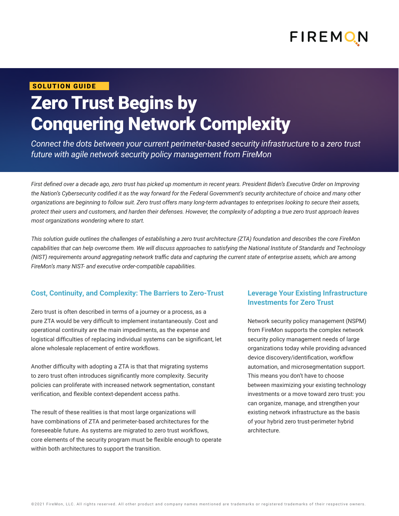

#### SOLUTION GUIDE

# Zero Trust Begins by Conquering Network Complexity

*Connect the dots between your current perimeter-based security infrastructure to a zero trust future with agile network security policy management from FireMon* 

*First defined over a decade ago, zero trust has picked up momentum in recent years. President Biden's Executive Order on Improving the Nation's Cybersecurity codified it as the way forward for the Federal Government's security architecture of choice and many other organizations are beginning to follow suit. Zero trust offers many long-term advantages to enterprises looking to secure their assets, protect their users and customers, and harden their defenses. However, the complexity of adopting a true zero trust approach leaves most organizations wondering where to start.* 

*This solution guide outlines the challenges of establishing a zero trust architecture (ZTA) foundation and describes the core FireMon capabilities that can help overcome them. We will discuss approaches to satisfying the National Institute of Standards and Technology (NIST) requirements around aggregating network traffic data and capturing the current state of enterprise assets, which are among FireMon's many NIST- and executive order-compatible capabilities.* 

#### **Cost, Continuity, and Complexity: The Barriers to Zero-Trust**

Zero trust is often described in terms of a journey or a process, as a pure ZTA would be very difficult to implement instantaneously. Cost and operational continuity are the main impediments, as the expense and logistical difficulties of replacing individual systems can be significant, let alone wholesale replacement of entire workflows.

Another difficulty with adopting a ZTA is that that migrating systems to zero trust often introduces significantly more complexity. Security policies can proliferate with increased network segmentation, constant verification, and flexible context-dependent access paths.

The result of these realities is that most large organizations will have combinations of ZTA and perimeter-based architectures for the foreseeable future. As systems are migrated to zero trust workflows, core elements of the security program must be flexible enough to operate within both architectures to support the transition.

#### **Leverage Your Existing Infrastructure Investments for Zero Trust**

Network security policy management (NSPM) from FireMon supports the complex network security policy management needs of large organizations today while providing advanced device discovery/identification, workflow automation, and microsegmentation support. This means you don't have to choose between maximizing your existing technology investments or a move toward zero trust: you can organize, manage, and strengthen your existing network infrastructure as the basis of your hybrid zero trust-perimeter hybrid architecture.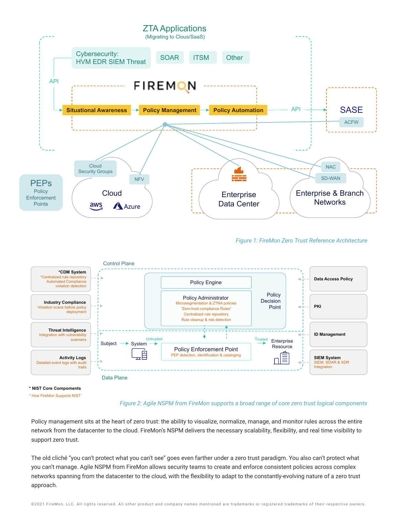

**<sup>\*</sup> NIST Core Compoments** \* How FireMon Supports NIST

#### *Figure 2: Agile NSPM from FireMon supports a broad range of core zero trust logical components*

Policy management sits at the heart of zero trust: the ability to visualize, normalize, manage, and monitor rules across the entire network from the datacenter to the cloud. FireMon's NSPM delivers the necessary scalability, flexibility, and real time visibility to support zero trust.

The old cliché "you can't protect what you can't see" goes even farther under a zero trust paradigm. You also can't protect what you can't manage. Agile NSPM from FireMon allows security teams to create and enforce consistent policies across complex networks spanning from the datacenter to the cloud, with the flexibility to adapt to the constantly-evolving nature of a zero trust approach.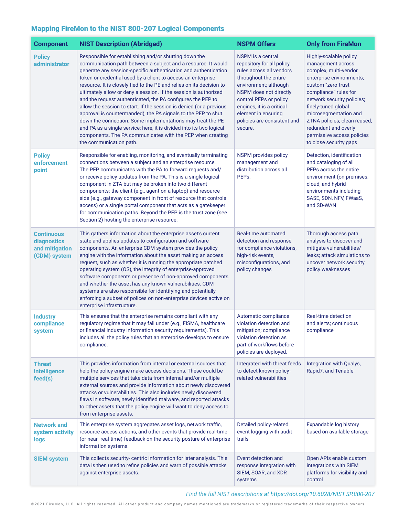## Mapping FireMon to the NIST 800-207 Logical Components

| <b>Component</b>                                                   | <b>NIST Description (Abridged)</b>                                                                                                                                                                                                                                                                                                                                                                                                                                                                                                                                                                                                                                                                                                                                                                                                          | <b>NSPM Offers</b>                                                                                                                                                                                                                                                             | <b>Only from FireMon</b>                                                                                                                                                                                                                                                                                                                       |
|--------------------------------------------------------------------|---------------------------------------------------------------------------------------------------------------------------------------------------------------------------------------------------------------------------------------------------------------------------------------------------------------------------------------------------------------------------------------------------------------------------------------------------------------------------------------------------------------------------------------------------------------------------------------------------------------------------------------------------------------------------------------------------------------------------------------------------------------------------------------------------------------------------------------------|--------------------------------------------------------------------------------------------------------------------------------------------------------------------------------------------------------------------------------------------------------------------------------|------------------------------------------------------------------------------------------------------------------------------------------------------------------------------------------------------------------------------------------------------------------------------------------------------------------------------------------------|
| <b>Policy</b><br>administrator                                     | Responsible for establishing and/or shutting down the<br>communication path between a subject and a resource. It would<br>generate any session-specific authentication and authentication<br>token or credential used by a client to access an enterprise<br>resource. It is closely tied to the PE and relies on its decision to<br>ultimately allow or deny a session. If the session is authorized<br>and the request authenticated, the PA configures the PEP to<br>allow the session to start. If the session is denied (or a previous<br>approval is countermanded), the PA signals to the PEP to shut<br>down the connection. Some implementations may treat the PE<br>and PA as a single service; here, it is divided into its two logical<br>components. The PA communicates with the PEP when creating<br>the communication path. | NSPM is a central<br>repository for all policy<br>rules across all vendors<br>throughout the entire<br>environment; although<br>NSPM does not directly<br>control PEPs or policy<br>engines, it is a critical<br>element in ensuring<br>policies are consistent and<br>secure. | Highly-scalable policy<br>management across<br>complex, multi-vendor<br>enterprise environments;<br>custom "zero-trust<br>compliance" rules for<br>network security policies;<br>finely-tuned global<br>microsegmentation and<br>ZTNA policies; clean reused,<br>redundant and overly-<br>permissive access policies<br>to close security gaps |
| <b>Policy</b><br>enforcement<br>point                              | Responsible for enabling, monitoring, and eventually terminating<br>connections between a subject and an enterprise resource.<br>The PEP communicates with the PA to forward requests and/<br>or receive policy updates from the PA. This is a single logical<br>component in ZTA but may be broken into two different<br>components: the client (e.g., agent on a laptop) and resource<br>side (e.g., gateway component in front of resource that controls<br>access) or a single portal component that acts as a gatekeeper<br>for communication paths. Beyond the PEP is the trust zone (see<br>Section 2) hosting the enterprise resource.                                                                                                                                                                                              | <b>NSPM</b> provides policy<br>management and<br>distribution across all<br>PEPs.                                                                                                                                                                                              | Detection, identification<br>and cataloging of all<br>PEPs across the entire<br>environment (on-premises,<br>cloud, and hybrid<br>environments including<br>SASE, SDN, NFV, FWaaS,<br>and SD-WAN                                                                                                                                               |
| <b>Continuous</b><br>diagnostics<br>and mitigation<br>(CDM) system | This gathers information about the enterprise asset's current<br>state and applies updates to configuration and software<br>components. An enterprise CDM system provides the policy<br>engine with the information about the asset making an access<br>request, such as whether it is running the appropriate patched<br>operating system (OS), the integrity of enterprise-approved<br>software components or presence of non-approved components<br>and whether the asset has any known vulnerabilities. CDM<br>systems are also responsible for identifying and potentially<br>enforcing a subset of polices on non-enterprise devices active on<br>enterprise infrastructure.                                                                                                                                                          | Real-time automated<br>detection and response<br>for compliance violations,<br>high-risk events,<br>misconfigurations, and<br>policy changes                                                                                                                                   | Thorough access path<br>analysis to discover and<br>mitigate vulnerabilities/<br>leaks; attack simulations to<br>uncover network security<br>policy weaknesses                                                                                                                                                                                 |
| <b>Industry</b><br>compliance<br>system                            | This ensures that the enterprise remains compliant with any<br>regulatory regime that it may fall under (e.g., FISMA, healthcare<br>or financial industry information security requirements). This<br>includes all the policy rules that an enterprise develops to ensure<br>compliance.                                                                                                                                                                                                                                                                                                                                                                                                                                                                                                                                                    | Automatic compliance<br>violation detection and<br>mitigation; compliance<br>violation detection as<br>part of workflows before<br>policies are deployed.                                                                                                                      | <b>Real-time detection</b><br>and alerts; continuous<br>compliance                                                                                                                                                                                                                                                                             |
| <b>Threat</b><br>intelligence<br>feed(s)                           | This provides information from internal or external sources that<br>help the policy engine make access decisions. These could be<br>multiple services that take data from internal and/or multiple<br>external sources and provide information about newly discovered<br>attacks or vulnerabilities. This also includes newly discovered<br>flaws in software, newly identified malware, and reported attacks<br>to other assets that the policy engine will want to deny access to<br>from enterprise assets.                                                                                                                                                                                                                                                                                                                              | Integrated with threat feeds<br>to detect known policy-<br>related vulnerabilities                                                                                                                                                                                             | Integration with Qualys,<br>Rapid7, and Tenable                                                                                                                                                                                                                                                                                                |
| <b>Network</b> and<br>system activity<br>logs                      | This enterprise system aggregates asset logs, network traffic,<br>resource access actions, and other events that provide real-time<br>(or near- real-time) feedback on the security posture of enterprise<br>information systems.                                                                                                                                                                                                                                                                                                                                                                                                                                                                                                                                                                                                           | Detailed policy-related<br>event logging with audit<br>trails                                                                                                                                                                                                                  | <b>Expandable log history</b><br>based on available storage                                                                                                                                                                                                                                                                                    |
| <b>SIEM system</b>                                                 | This collects security- centric information for later analysis. This<br>data is then used to refine policies and warn of possible attacks<br>against enterprise assets.                                                                                                                                                                                                                                                                                                                                                                                                                                                                                                                                                                                                                                                                     | Event detection and<br>response integration with<br>SIEM, SOAR, and XDR<br>systems                                                                                                                                                                                             | Open APIs enable custom<br>integrations with SIEM<br>platforms for visibility and<br>control                                                                                                                                                                                                                                                   |

#### *Find the full NIST descriptions at<https://doi.org/10.6028/NIST.SP.800-207>*

©2021 FireMon, LLC. All rights reserved. All other product and company names mentioned are trademarks or registered trademarks of their respective owners.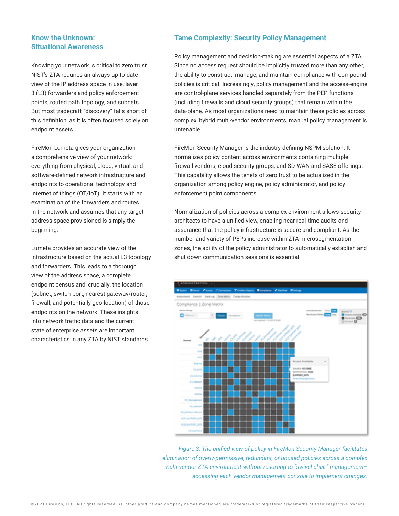#### **Know the Unknown: Situational Awareness**

Knowing your network is critical to zero trust. NIST's ZTA requires an always-up-to-date view of the IP address space in use, layer 3 (L3) forwarders and policy enforcement points, routed path topology, and subnets. But most tradecraft "discovery" falls short of this definition, as it is often focused solely on endpoint assets.

FireMon Lumeta gives your organization a comprehensive view of your network: everything from physical, cloud, virtual, and software-defined network infrastructure and endpoints to operational technology and internet of things (OT/IoT). It starts with an examination of the forwarders and routes in the network and assumes that any target address space provisioned is simply the beginning.

Lumeta provides an accurate view of the infrastructure based on the actual L3 topology and forwarders. This leads to a thorough view of the address space, a complete endpoint census and, crucially, the location (subnet, switch-port, nearest gateway/router, firewall, and potentially geo-location) of those endpoints on the network. These insights into network traffic data and the current state of enterprise assets are important characteristics in any ZTA by NIST standards.

#### **Tame Complexity: Security Policy Management**

Policy management and decision-making are essential aspects of a ZTA. Since no access request should be implicitly trusted more than any other, the ability to construct, manage, and maintain compliance with compound policies is critical. Increasingly, policy management and the access-engine are control-plane services handled separately from the PEP functions (including firewalls and cloud security groups) that remain within the data-plane. As most organizations need to maintain these policies across complex, hybrid multi-vendor environments, manual policy management is untenable.

FireMon Security Manager is the industry-defining NSPM solution. It normalizes policy content across environments containing multiple firewall vendors, cloud security groups, and SD-WAN and SASE offerings. This capability allows the tenets of zero trust to be actualized in the organization among policy engine, policy administrator, and policy enforcement point components.

Normalization of policies across a complex environment allows security architects to have a unified view, enabling near real-time audits and assurance that the policy infrastructure is secure and compliant. As the number and variety of PEPs increase within ZTA microsegmentation zones, the ability of the policy administrator to automatically establish and shut down communication sessions is essential.



*Figure 3: The unified view of policy in FireMon Security Manager facilitates elimination of overly-permissive, redundant, or unused policies across a complex multi-vendor ZTA environment without resorting to "swivel-chair" management– accessing each vendor management console to implement changes.*